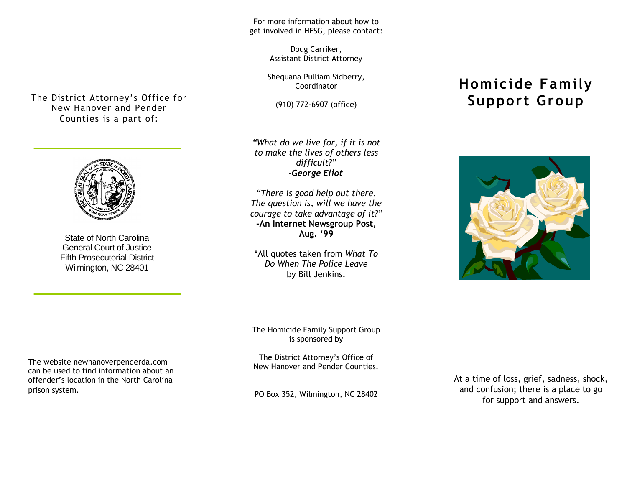For more information about how to get involved in HFSG, please contact:

> Doug Carriker, Assistant District Attorney

Shequana Pulliam Sidberry, Coordinator

(910) 772-6907 (office)

*"What do we live for, if it is not to make the lives of others less difficult?"* -*George Eliot*

*"There is good help out there. The question is, will we have the courage to take advantage of it?"* **-An Internet Newsgroup Post, Aug. '99**

\*All quotes taken from *What To Do When The Police Leave*  by Bill Jenkins.

The Homicide Family Support Group is sponsored by

The District Attorney's Office of New Hanover and Pender Counties.

PO Box 352, Wilmington, NC 28402

At a time of loss, grief, sadness, shock, and confusion; there is a place to go for support and answers.

## **Homicide Family Support Group**



The District Attorney's Office for New Hanover and Pender Counties is a part of:



State of North Carolina General Court of Justice Fifth Prosecutorial District Wilmington, NC 28401

The website newhanoverpenderda.com can be used to find information about an offender's location in the North Carolina prison system.